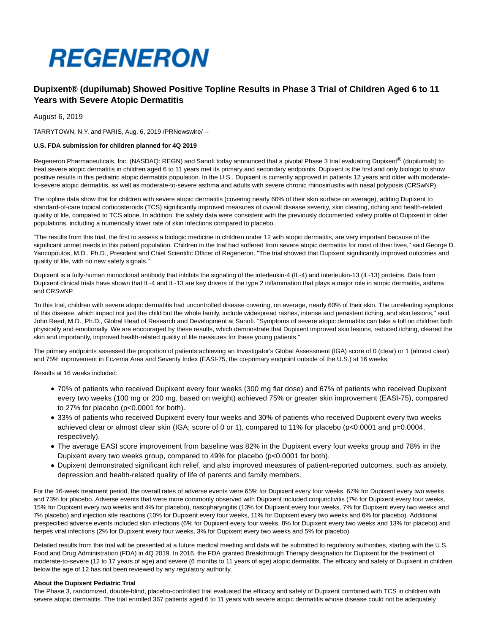

# **Dupixent® (dupilumab) Showed Positive Topline Results in Phase 3 Trial of Children Aged 6 to 11 Years with Severe Atopic Dermatitis**

August 6, 2019

TARRYTOWN, N.Y. and PARIS, Aug. 6, 2019 /PRNewswire/ --

#### **U.S. FDA submission for children planned for 4Q 2019**

Regeneron Pharmaceuticals, Inc. (NASDAQ: REGN) and Sanofi today announced that a pivotal Phase 3 trial evaluating Dupixent® (dupilumab) to treat severe atopic dermatitis in children aged 6 to 11 years met its primary and secondary endpoints. Dupixent is the first and only biologic to show positive results in this pediatric atopic dermatitis population. In the U.S., Dupixent is currently approved in patients 12 years and older with moderateto-severe atopic dermatitis, as well as moderate-to-severe asthma and adults with severe chronic rhinosinusitis with nasal polyposis (CRSwNP).

The topline data show that for children with severe atopic dermatitis (covering nearly 60% of their skin surface on average), adding Dupixent to standard-of-care topical corticosteroids (TCS) significantly improved measures of overall disease severity, skin clearing, itching and health-related quality of life, compared to TCS alone. In addition, the safety data were consistent with the previously documented safety profile of Dupixent in older populations, including a numerically lower rate of skin infections compared to placebo.

"The results from this trial, the first to assess a biologic medicine in children under 12 with atopic dermatitis, are very important because of the significant unmet needs in this patient population. Children in the trial had suffered from severe atopic dermatitis for most of their lives," said George D. Yancopoulos, M.D., Ph.D., President and Chief Scientific Officer of Regeneron. "The trial showed that Dupixent significantly improved outcomes and quality of life, with no new safety signals."

Dupixent is a fully-human monoclonal antibody that inhibits the signaling of the interleukin-4 (IL-4) and interleukin-13 (IL-13) proteins. Data from Dupixent clinical trials have shown that IL-4 and IL-13 are key drivers of the type 2 inflammation that plays a major role in atopic dermatitis, asthma and CRSwNP.

"In this trial, children with severe atopic dermatitis had uncontrolled disease covering, on average, nearly 60% of their skin. The unrelenting symptoms of this disease, which impact not just the child but the whole family, include widespread rashes, intense and persistent itching, and skin lesions," said John Reed, M.D., Ph.D., Global Head of Research and Development at Sanofi. "Symptoms of severe atopic dermatitis can take a toll on children both physically and emotionally. We are encouraged by these results, which demonstrate that Dupixent improved skin lesions, reduced itching, cleared the skin and importantly, improved health-related quality of life measures for these young patients."

The primary endpoints assessed the proportion of patients achieving an Investigator's Global Assessment (IGA) score of 0 (clear) or 1 (almost clear) and 75% improvement in Eczema Area and Severity Index (EASI-75, the co-primary endpoint outside of the U.S.) at 16 weeks.

Results at 16 weeks included:

- 70% of patients who received Dupixent every four weeks (300 mg flat dose) and 67% of patients who received Dupixent every two weeks (100 mg or 200 mg, based on weight) achieved 75% or greater skin improvement (EASI-75), compared to 27% for placebo (p<0.0001 for both).
- 33% of patients who received Dupixent every four weeks and 30% of patients who received Dupixent every two weeks achieved clear or almost clear skin (IGA; score of 0 or 1), compared to 11% for placebo (p<0.0001 and p=0.0004, respectively).
- The average EASI score improvement from baseline was 82% in the Dupixent every four weeks group and 78% in the Dupixent every two weeks group, compared to 49% for placebo (p<0.0001 for both).
- Dupixent demonstrated significant itch relief, and also improved measures of patient-reported outcomes, such as anxiety, depression and health-related quality of life of parents and family members.

For the 16-week treatment period, the overall rates of adverse events were 65% for Dupixent every four weeks, 67% for Dupixent every two weeks and 73% for placebo. Adverse events that were more commonly observed with Dupixent included conjunctivitis (7% for Dupixent every four weeks, 15% for Dupixent every two weeks and 4% for placebo), nasopharyngitis (13% for Dupixent every four weeks, 7% for Dupixent every two weeks and 7% placebo) and injection site reactions (10% for Dupixent every four weeks, 11% for Dupixent every two weeks and 6% for placebo). Additional prespecified adverse events included skin infections (6% for Dupixent every four weeks, 8% for Dupixent every two weeks and 13% for placebo) and herpes viral infections (2% for Dupixent every four weeks, 3% for Dupixent every two weeks and 5% for placebo).

Detailed results from this trial will be presented at a future medical meeting and data will be submitted to regulatory authorities, starting with the U.S. Food and Drug Administration (FDA) in 4Q 2019. In 2016, the FDA granted Breakthrough Therapy designation for Dupixent for the treatment of moderate-to-severe (12 to 17 years of age) and severe (6 months to 11 years of age) atopic dermatitis. The efficacy and safety of Dupixent in children below the age of 12 has not been reviewed by any regulatory authority.

## **About the Dupixent Pediatric Trial**

The Phase 3, randomized, double-blind, placebo-controlled trial evaluated the efficacy and safety of Dupixent combined with TCS in children with severe atopic dermatitis. The trial enrolled 367 patients aged 6 to 11 years with severe atopic dermatitis whose disease could not be adequately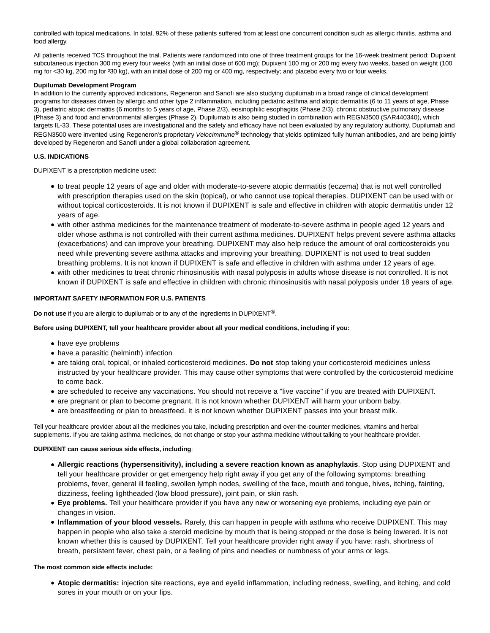controlled with topical medications. In total, 92% of these patients suffered from at least one concurrent condition such as allergic rhinitis, asthma and food allergy.

All patients received TCS throughout the trial. Patients were randomized into one of three treatment groups for the 16-week treatment period: Dupixent subcutaneous injection 300 mg every four weeks (with an initial dose of 600 mg); Dupixent 100 mg or 200 mg every two weeks, based on weight (100 mg for <30 kg, 200 mg for <sup>3</sup>30 kg), with an initial dose of 200 mg or 400 mg, respectively; and placebo every two or four weeks.

## **Dupilumab Development Program**

In addition to the currently approved indications, Regeneron and Sanofi are also studying dupilumab in a broad range of clinical development programs for diseases driven by allergic and other type 2 inflammation, including pediatric asthma and atopic dermatitis (6 to 11 years of age, Phase 3), pediatric atopic dermatitis (6 months to 5 years of age, Phase 2/3), eosinophilic esophagitis (Phase 2/3), chronic obstructive pulmonary disease (Phase 3) and food and environmental allergies (Phase 2). Dupilumab is also being studied in combination with REGN3500 (SAR440340), which targets IL-33. These potential uses are investigational and the safety and efficacy have not been evaluated by any regulatory authority. Dupilumab and REGN3500 were invented using Regeneron's proprietary VelocImmune<sup>®</sup> technology that yields optimized fully human antibodies, and are being jointly developed by Regeneron and Sanofi under a global collaboration agreement.

# **U.S. INDICATIONS**

DUPIXENT is a prescription medicine used:

- to treat people 12 years of age and older with moderate-to-severe atopic dermatitis (eczema) that is not well controlled with prescription therapies used on the skin (topical), or who cannot use topical therapies. DUPIXENT can be used with or without topical corticosteroids. It is not known if DUPIXENT is safe and effective in children with atopic dermatitis under 12 years of age.
- with other asthma medicines for the maintenance treatment of moderate-to-severe asthma in people aged 12 years and older whose asthma is not controlled with their current asthma medicines. DUPIXENT helps prevent severe asthma attacks (exacerbations) and can improve your breathing. DUPIXENT may also help reduce the amount of oral corticosteroids you need while preventing severe asthma attacks and improving your breathing. DUPIXENT is not used to treat sudden breathing problems. It is not known if DUPIXENT is safe and effective in children with asthma under 12 years of age.
- with other medicines to treat chronic rhinosinusitis with nasal polyposis in adults whose disease is not controlled. It is not known if DUPIXENT is safe and effective in children with chronic rhinosinusitis with nasal polyposis under 18 years of age.

### **IMPORTANT SAFETY INFORMATION FOR U.S. PATIENTS**

**Do not use** if you are allergic to dupilumab or to any of the ingredients in DUPIXENT®.

# **Before using DUPIXENT, tell your healthcare provider about all your medical conditions, including if you:**

- have eye problems
- have a parasitic (helminth) infection
- are taking oral, topical, or inhaled corticosteroid medicines. **Do not** stop taking your corticosteroid medicines unless instructed by your healthcare provider. This may cause other symptoms that were controlled by the corticosteroid medicine to come back.
- are scheduled to receive any vaccinations. You should not receive a "live vaccine" if you are treated with DUPIXENT.
- are pregnant or plan to become pregnant. It is not known whether DUPIXENT will harm your unborn baby.
- are breastfeeding or plan to breastfeed. It is not known whether DUPIXENT passes into your breast milk.

Tell your healthcare provider about all the medicines you take, including prescription and over-the-counter medicines, vitamins and herbal supplements. If you are taking asthma medicines, do not change or stop your asthma medicine without talking to your healthcare provider.

### **DUPIXENT can cause serious side effects, including**:

- **Allergic reactions (hypersensitivity), including a severe reaction known as anaphylaxis**. Stop using DUPIXENT and tell your healthcare provider or get emergency help right away if you get any of the following symptoms: breathing problems, fever, general ill feeling, swollen lymph nodes, swelling of the face, mouth and tongue, hives, itching, fainting, dizziness, feeling lightheaded (low blood pressure), joint pain, or skin rash.
- **Eye problems.** Tell your healthcare provider if you have any new or worsening eye problems, including eye pain or changes in vision.
- **Inflammation of your blood vessels.** Rarely, this can happen in people with asthma who receive DUPIXENT. This may happen in people who also take a steroid medicine by mouth that is being stopped or the dose is being lowered. It is not known whether this is caused by DUPIXENT. Tell your healthcare provider right away if you have: rash, shortness of breath, persistent fever, chest pain, or a feeling of pins and needles or numbness of your arms or legs.

### **The most common side effects include:**

**Atopic dermatitis:** injection site reactions, eye and eyelid inflammation, including redness, swelling, and itching, and cold sores in your mouth or on your lips.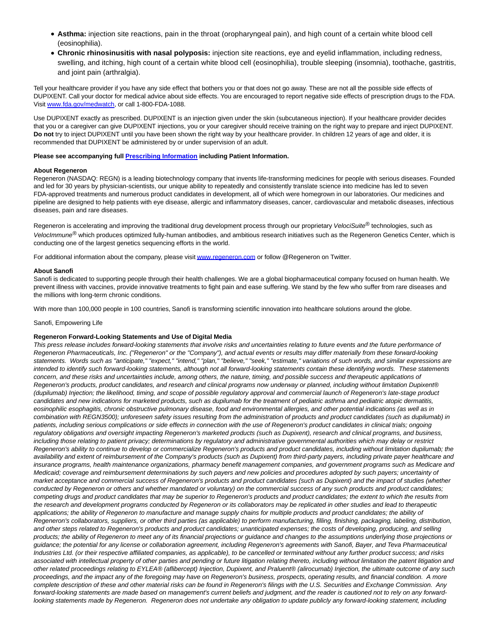- **Asthma:** injection site reactions, pain in the throat (oropharyngeal pain), and high count of a certain white blood cell (eosinophilia).
- **Chronic rhinosinusitis with nasal polyposis:** injection site reactions, eye and eyelid inflammation, including redness, swelling, and itching, high count of a certain white blood cell (eosinophilia), trouble sleeping (insomnia), toothache, gastritis, and joint pain (arthralgia).

Tell your healthcare provider if you have any side effect that bothers you or that does not go away. These are not all the possible side effects of DUPIXENT. Call your doctor for medical advice about side effects. You are encouraged to report negative side effects of prescription drugs to the FDA. Visit [www.fda.gov/medwatch,](http://www.fda.gov/medwatch) or call 1-800-FDA-1088.

Use DUPIXENT exactly as prescribed. DUPIXENT is an injection given under the skin (subcutaneous injection). If your healthcare provider decides that you or a caregiver can give DUPIXENT injections, you or your caregiver should receive training on the right way to prepare and inject DUPIXENT. **Do not** try to inject DUPIXENT until you have been shown the right way by your healthcare provider. In children 12 years of age and older, it is recommended that DUPIXENT be administered by or under supervision of an adult.

#### **Please see accompanying full [Prescribing Information i](https://c212.net/c/link/?t=0&l=en&o=2544011-1&h=1910563826&u=https%3A%2F%2Fwww.regeneron.com%2Fsites%2Fdefault%2Ffiles%2FDupixent_FPI.pdf&a=Prescribing+Information)ncluding Patient Information.**

#### **About Regeneron**

Regeneron (NASDAQ: REGN) is a leading biotechnology company that invents life-transforming medicines for people with serious diseases. Founded and led for 30 years by physician-scientists, our unique ability to repeatedly and consistently translate science into medicine has led to seven FDA-approved treatments and numerous product candidates in development, all of which were homegrown in our laboratories. Our medicines and pipeline are designed to help patients with eye disease, allergic and inflammatory diseases, cancer, cardiovascular and metabolic diseases, infectious diseases, pain and rare diseases.

Regeneron is accelerating and improving the traditional drug development process through our proprietary VelociSuite® technologies, such as VelocImmune<sup>®</sup> which produces optimized fully-human antibodies, and ambitious research initiatives such as the Regeneron Genetics Center, which is conducting one of the largest genetics sequencing efforts in the world.

For additional information about the company, please visi[t www.regeneron.com o](https://c212.net/c/link/?t=0&l=en&o=2544011-1&h=1580889378&u=http%3A%2F%2Fwww.regeneron.com%2F&a=www.regeneron.com)r follow @Regeneron on Twitter.

#### **About Sanofi**

Sanofi is dedicated to supporting people through their health challenges. We are a global biopharmaceutical company focused on human health. We prevent illness with vaccines, provide innovative treatments to fight pain and ease suffering. We stand by the few who suffer from rare diseases and the millions with long-term chronic conditions.

With more than 100,000 people in 100 countries, Sanofi is transforming scientific innovation into healthcare solutions around the globe.

#### Sanofi, Empowering Life

#### **Regeneron Forward-Looking Statements and Use of Digital Media**

This press release includes forward-looking statements that involve risks and uncertainties relating to future events and the future performance of Regeneron Pharmaceuticals, Inc. ("Regeneron" or the "Company"), and actual events or results may differ materially from these forward-looking statements. Words such as "anticipate," "expect," "intend," "plan," "believe," "seek," "estimate," variations of such words, and similar expressions are intended to identify such forward-looking statements, although not all forward-looking statements contain these identifying words. These statements concern, and these risks and uncertainties include, among others, the nature, timing, and possible success and therapeutic applications of Regeneron's products, product candidates, and research and clinical programs now underway or planned, including without limitation Dupixent® (dupilumab) Injection; the likelihood, timing, and scope of possible regulatory approval and commercial launch of Regeneron's late-stage product candidates and new indications for marketed products, such as dupilumab for the treatment of pediatric asthma and pediatric atopic dermatitis, eosinophilic esophagitis, chronic obstructive pulmonary disease, food and environmental allergies, and other potential indications (as well as in combination with REGN3500); unforeseen safety issues resulting from the administration of products and product candidates (such as dupilumab) in patients, including serious complications or side effects in connection with the use of Regeneron's product candidates in clinical trials; ongoing regulatory obligations and oversight impacting Regeneron's marketed products (such as Dupixent), research and clinical programs, and business, including those relating to patient privacy; determinations by regulatory and administrative governmental authorities which may delay or restrict Regeneron's ability to continue to develop or commercialize Regeneron's products and product candidates, including without limitation dupilumab; the availability and extent of reimbursement of the Company's products (such as Dupixent) from third-party payers, including private payer healthcare and insurance programs, health maintenance organizations, pharmacy benefit management companies, and government programs such as Medicare and Medicaid; coverage and reimbursement determinations by such payers and new policies and procedures adopted by such payers; uncertainty of market acceptance and commercial success of Regeneron's products and product candidates (such as Dupixent) and the impact of studies (whether conducted by Regeneron or others and whether mandated or voluntary) on the commercial success of any such products and product candidates; competing drugs and product candidates that may be superior to Regeneron's products and product candidates; the extent to which the results from the research and development programs conducted by Regeneron or its collaborators may be replicated in other studies and lead to therapeutic applications; the ability of Regeneron to manufacture and manage supply chains for multiple products and product candidates; the ability of Regeneron's collaborators, suppliers, or other third parties (as applicable) to perform manufacturing, filling, finishing, packaging, labeling, distribution, and other steps related to Regeneron's products and product candidates; unanticipated expenses; the costs of developing, producing, and selling products; the ability of Regeneron to meet any of its financial projections or guidance and changes to the assumptions underlying those projections or guidance; the potential for any license or collaboration agreement, including Regeneron's agreements with Sanofi, Bayer, and Teva Pharmaceutical Industries Ltd. (or their respective affiliated companies, as applicable), to be cancelled or terminated without any further product success; and risks associated with intellectual property of other parties and pending or future litigation relating thereto, including without limitation the patent litigation and other related proceedings relating to EYLEA® (aflibercept) Injection, Dupixent, and Praluent® (alirocumab) Injection, the ultimate outcome of any such proceedings, and the impact any of the foregoing may have on Regeneron's business, prospects, operating results, and financial condition. A more complete description of these and other material risks can be found in Regeneron's filings with the U.S. Securities and Exchange Commission. Any forward-looking statements are made based on management's current beliefs and judgment, and the reader is cautioned not to rely on any forwardlooking statements made by Regeneron. Regeneron does not undertake any obligation to update publicly any forward-looking statement, including